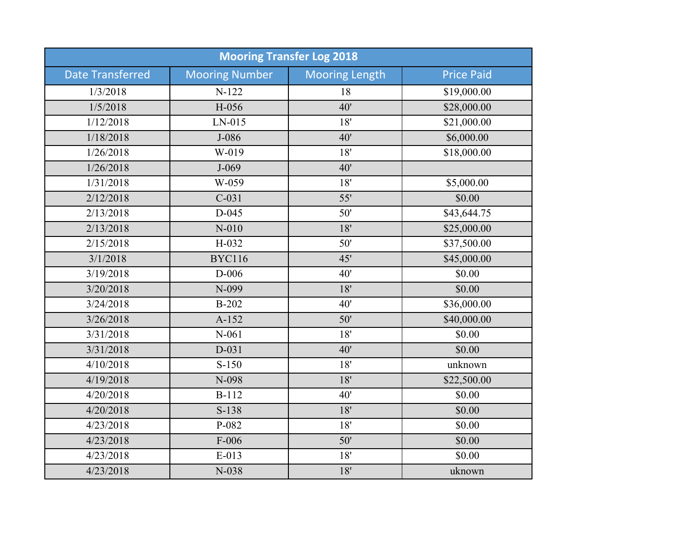| <b>Mooring Transfer Log 2018</b> |                       |                       |                   |  |  |
|----------------------------------|-----------------------|-----------------------|-------------------|--|--|
| <b>Date Transferred</b>          | <b>Mooring Number</b> | <b>Mooring Length</b> | <b>Price Paid</b> |  |  |
| 1/3/2018                         | $N-122$               | 18                    | \$19,000.00       |  |  |
| 1/5/2018                         | H-056                 | 40'                   | \$28,000.00       |  |  |
| 1/12/2018                        | $LN-015$              | 18'                   | \$21,000.00       |  |  |
| 1/18/2018                        | $J-086$               | 40'                   | \$6,000.00        |  |  |
| 1/26/2018                        | W-019                 | 18'                   | \$18,000.00       |  |  |
| 1/26/2018                        | $J-069$               | 40'                   |                   |  |  |
| 1/31/2018                        | W-059                 | 18'                   | \$5,000.00        |  |  |
| 2/12/2018                        | $C-031$               | 55'                   | \$0.00            |  |  |
| 2/13/2018                        | $D-045$               | 50'                   | \$43,644.75       |  |  |
| 2/13/2018                        | $N-010$               | 18'                   | \$25,000.00       |  |  |
| 2/15/2018                        | H-032                 | 50'                   | \$37,500.00       |  |  |
| 3/1/2018                         | <b>BYC116</b>         | 45'                   | \$45,000.00       |  |  |
| 3/19/2018                        | $D-006$               | 40'                   | \$0.00            |  |  |
| 3/20/2018                        | N-099                 | 18'                   | \$0.00            |  |  |
| 3/24/2018                        | <b>B-202</b>          | 40'                   | \$36,000.00       |  |  |
| 3/26/2018                        | $A-152$               | 50'                   | \$40,000.00       |  |  |
| 3/31/2018                        | $N-061$               | 18'                   | \$0.00            |  |  |
| 3/31/2018                        | $D-031$               | 40'                   | \$0.00            |  |  |
| 4/10/2018                        | $S-150$               | 18'                   | unknown           |  |  |
| 4/19/2018                        | N-098                 | 18'                   | \$22,500.00       |  |  |
| 4/20/2018                        | B-112                 | 40'                   | \$0.00            |  |  |
| 4/20/2018                        | $S-138$               | 18'                   | \$0.00            |  |  |
| 4/23/2018                        | P-082                 | 18'                   | \$0.00            |  |  |
| 4/23/2018                        | $F-006$               | 50'                   | \$0.00            |  |  |
| 4/23/2018                        | $E-013$               | 18'                   | \$0.00            |  |  |
| 4/23/2018                        | N-038                 | 18'                   | uknown            |  |  |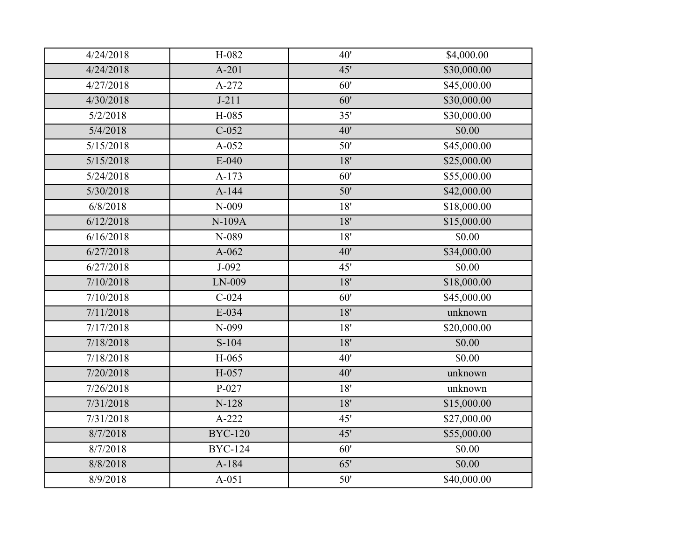| 4/24/2018 | H-082                | 40'   | \$4,000.00  |
|-----------|----------------------|-------|-------------|
| 4/24/2018 | $A-201$              | 45'   | \$30,000.00 |
| 4/27/2018 | A-272                | 60'   | \$45,000.00 |
| 4/30/2018 | $J-211$              | 60'   | \$30,000.00 |
| 5/2/2018  | H-085                | 35'   | \$30,000.00 |
| 5/4/2018  | $C-052$              | 40'   | \$0.00      |
| 5/15/2018 | $A-052$              | 50'   | \$45,000.00 |
| 5/15/2018 | $E-040$              | 18'   | \$25,000.00 |
| 5/24/2018 | $A-173$              | 60'   | \$55,000.00 |
| 5/30/2018 | A-144                | 50'   | \$42,000.00 |
| 6/8/2018  | $N-009$              | 18'   | \$18,000.00 |
| 6/12/2018 | N-109A               | 18'   | \$15,000.00 |
| 6/16/2018 | N-089                | 18'   | \$0.00      |
| 6/27/2018 | $A-062$              | 40'   | \$34,000.00 |
| 6/27/2018 | $J-092$              | 45'   | \$0.00      |
| 7/10/2018 | LN-009               | 18'   | \$18,000.00 |
| 7/10/2018 | $C-024$              | 60'   | \$45,000.00 |
| 7/11/2018 | $E-034$              | 18'   | unknown     |
| 7/17/2018 | N-099                | $18'$ | \$20,000.00 |
| 7/18/2018 | $S-104$              | 18'   | \$0.00      |
| 7/18/2018 | H-065                | 40'   | \$0.00      |
| 7/20/2018 | H-057                | 40'   | unknown     |
| 7/26/2018 | $P-027$              | 18'   | unknown     |
| 7/31/2018 | $N-128$              | 18'   | \$15,000.00 |
| 7/31/2018 | $A-222$              | 45'   | \$27,000.00 |
| 8/7/2018  | <b>BYC-120</b>       | 45'   | \$55,000.00 |
| 8/7/2018  | $\overline{BYC-124}$ | 60'   | \$0.00      |
| 8/8/2018  | A-184                | 65'   | \$0.00      |
| 8/9/2018  | $A-051$              | 50'   | \$40,000.00 |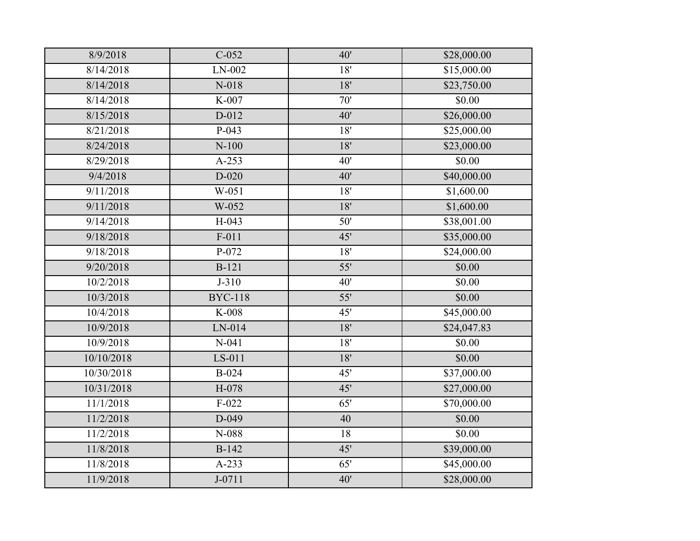| 8/9/2018   | $C-052$        | 40' | \$28,000.00 |
|------------|----------------|-----|-------------|
| 8/14/2018  | $LN-002$       | 18' | \$15,000.00 |
| 8/14/2018  | $N-018$        | 18' | \$23,750.00 |
| 8/14/2018  | K-007          | 70' | \$0.00      |
| 8/15/2018  | D-012          | 40' | \$26,000.00 |
| 8/21/2018  | $P-043$        | 18' | \$25,000.00 |
| 8/24/2018  | $N-100$        | 18' | \$23,000.00 |
| 8/29/2018  | $A-253$        | 40' | \$0.00      |
| 9/4/2018   | $D-020$        | 40' | \$40,000.00 |
| 9/11/2018  | W-051          | 18' | \$1,600.00  |
| 9/11/2018  | W-052          | 18' | \$1,600.00  |
| 9/14/2018  | $H-043$        | 50' | \$38,001.00 |
| 9/18/2018  | $F-011$        | 45' | \$35,000.00 |
| 9/18/2018  | $P-072$        | 18' | \$24,000.00 |
| 9/20/2018  | $B-121$        | 55' | \$0.00      |
| 10/2/2018  | $J-310$        | 40' | \$0.00      |
| 10/3/2018  | <b>BYC-118</b> | 55' | \$0.00      |
| 10/4/2018  | K-008          | 45' | \$45,000.00 |
| 10/9/2018  | LN-014         | 18' | \$24,047.83 |
| 10/9/2018  | $N-041$        | 18' | \$0.00      |
| 10/10/2018 | LS-011         | 18' | \$0.00      |
| 10/30/2018 | <b>B-024</b>   | 45' | \$37,000.00 |
| 10/31/2018 | H-078          | 45' | \$27,000.00 |
| 11/1/2018  | $F-022$        | 65' | \$70,000.00 |
| 11/2/2018  | D-049          | 40  | \$0.00      |
| 11/2/2018  | $N-088$        | 18  | \$0.00      |
| 11/8/2018  | <b>B-142</b>   | 45' | \$39,000.00 |
| 11/8/2018  | A-233          | 65' | \$45,000.00 |
| 11/9/2018  | $J - 0711$     | 40' | \$28,000.00 |